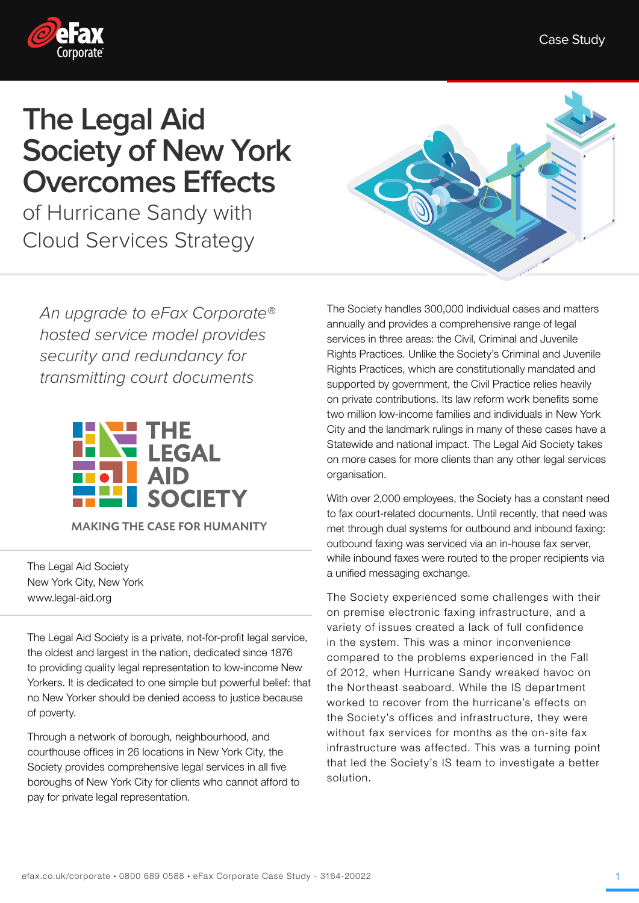

## **The Legal Aid Society of New York Overcomes Effects**

of Hurricane Sandy with Cloud Services Strategy

An upgrade to eFax Corporate® hosted service model provides security and redundancy for transmitting court documents



**MAKING THE CASE FOR HUMANITY** 

The Legal Aid Society New York City, New York www.legal-aid.org

The Legal Aid Society is a private, not-for-profit legal service, the oldest and largest in the nation, dedicated since 1876 to providing quality legal representation to low-income New Yorkers. It is dedicated to one simple but powerful belief: that no New Yorker should be denied access to justice because of poverty.

Through a network of borough, neighbourhood, and courthouse offices in 26 locations in New York City, the Society provides comprehensive legal services in all five boroughs of New York City for clients who cannot afford to pay for private legal representation.



The Society handles 300,000 individual cases and matters annually and provides a comprehensive range of legal services in three areas: the Civil, Criminal and Juvenile Rights Practices. Unlike the Society's Criminal and Juvenile Rights Practices, which are constitutionally mandated and supported by government, the Civil Practice relies heavily on private contributions. Its law reform work benefits some two million low-income families and individuals in New York City and the landmark rulings in many of these cases have a Statewide and national impact. The Legal Aid Society takes on more cases for more clients than any other legal services organisation.

With over 2,000 employees, the Society has a constant need to fax court-related documents. Until recently, that need was met through dual systems for outbound and inbound faxing: outbound faxing was serviced via an in-house fax server, while inbound faxes were routed to the proper recipients via a unified messaging exchange.

The Society experienced some challenges with their on premise electronic faxing infrastructure, and a variety of issues created a lack of full confidence in the system. This was a minor inconvenience compared to the problems experienced in the Fall of 2012, when Hurricane Sandy wreaked havoc on the Northeast seaboard. While the IS department worked to recover from the hurricane's effects on the Society's offices and infrastructure, they were without fax services for months as the on-site fax infrastructure was affected. This was a turning point that led the Society's IS team to investigate a better solution.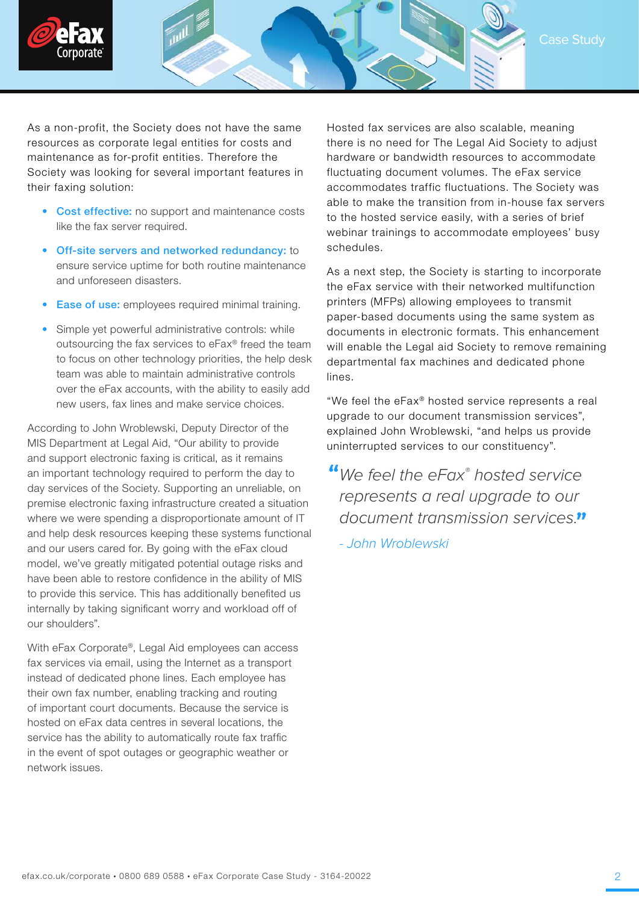



As a non-profit, the Society does not have the same resources as corporate legal entities for costs and maintenance as for-profit entities. Therefore the Society was looking for several important features in their faxing solution:

- Cost effective: no support and maintenance costs like the fax server required.
- Off-site servers and networked redundancy: to ensure service uptime for both routine maintenance and unforeseen disasters.
- **Ease of use:** employees required minimal training.
- Simple yet powerful administrative controls: while outsourcing the fax services to eFax® freed the team to focus on other technology priorities, the help desk team was able to maintain administrative controls over the eFax accounts, with the ability to easily add new users, fax lines and make service choices.

According to John Wroblewski, Deputy Director of the MIS Department at Legal Aid, "Our ability to provide and support electronic faxing is critical, as it remains an important technology required to perform the day to day services of the Society. Supporting an unreliable, on premise electronic faxing infrastructure created a situation where we were spending a disproportionate amount of IT and help desk resources keeping these systems functional and our users cared for. By going with the eFax cloud model, we've greatly mitigated potential outage risks and have been able to restore confidence in the ability of MIS to provide this service. This has additionally benefited us internally by taking significant worry and workload off of our shoulders".

With eFax Corporate®, Legal Aid employees can access fax services via email, using the Internet as a transport instead of dedicated phone lines. Each employee has their own fax number, enabling tracking and routing of important court documents. Because the service is hosted on eFax data centres in several locations, the service has the ability to automatically route fax traffic in the event of spot outages or geographic weather or network issues.

Hosted fax services are also scalable, meaning there is no need for The Legal Aid Society to adjust hardware or bandwidth resources to accommodate fluctuating document volumes. The eFax service accommodates traffic fluctuations. The Society was able to make the transition from in-house fax servers to the hosted service easily, with a series of brief webinar trainings to accommodate employees' busy schedules.

As a next step, the Society is starting to incorporate the eFax service with their networked multifunction printers (MFPs) allowing employees to transmit paper-based documents using the same system as documents in electronic formats. This enhancement will enable the Legal aid Society to remove remaining departmental fax machines and dedicated phone lines.

"We feel the eFax® hosted service represents a real upgrade to our document transmission services", explained John Wroblewski, "and helps us provide uninterrupted services to our constituency".

We feel the eFax® hosted service represents a real upgrade to our document transmission services."

- John Wroblewski